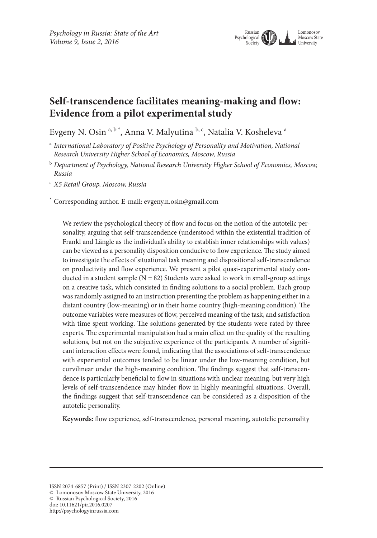

# **Self-transcendence facilitates meaning-making and flow: Evidence from a pilot experimental study**

Evgeny N. Osin<sup>a, b\*</sup>, Anna V. Malyutina <sup>b, c</sup>, Natalia V. Kosheleva<sup>a</sup>

<sup>a</sup> *International Laboratory of Positive Psychology of Personality and Motivation, National Research University Higher School of Economics, Moscow, Russia*

<sup>b</sup> *Department of Psychology, National Research University Higher School of Economics, Moscow, Russia*

<sup>c</sup> *X5 Retail Group, Moscow, Russia*

\* Corresponding author. E-mail: evgeny.n.osin@gmail.com

We review the psychological theory of flow and focus on the notion of the autotelic personality, arguing that self-transcendence (understood within the existential tradition of Frankl and Längle as the individual's ability to establish inner relationships with values) can be viewed as a personality disposition conducive to flow experience. The study aimed to investigate the effects of situational task meaning and dispositional self-transcendence on productivity and flow experience. We present a pilot quasi-experimental study conducted in a student sample ( $N = 82$ ) Students were asked to work in small-group settings on a creative task, which consisted in finding solutions to a social problem. Each group was randomly assigned to an instruction presenting the problem as happening either in a distant country (low-meaning) or in their home country (high-meaning condition). The outcome variables were measures of flow, perceived meaning of the task, and satisfaction with time spent working. The solutions generated by the students were rated by three experts. The experimental manipulation had a main effect on the quality of the resulting solutions, but not on the subjective experience of the participants. A number of significant interaction effects were found, indicating that the associations of self-transcendence with experiential outcomes tended to be linear under the low-meaning condition, but curvilinear under the high-meaning condition. The findings suggest that self-transcendence is particularly beneficial to flow in situations with unclear meaning, but very high levels of self-transcendence may hinder flow in highly meaningful situations. Overall, the findings suggest that self-transcendence can be considered as a disposition of the autotelic personality.

**Keywords:** flow experience, self-transcendence, personal meaning, autotelic personality

© Russian Psychological Society, 2016

doi: 10.11621/pir.2016.0207

http://psychologyinrussia.com

ISSN 2074-6857 (Print) / ISSN 2307-2202 (Online)

<sup>©</sup> Lomonosov Moscow State University, 2016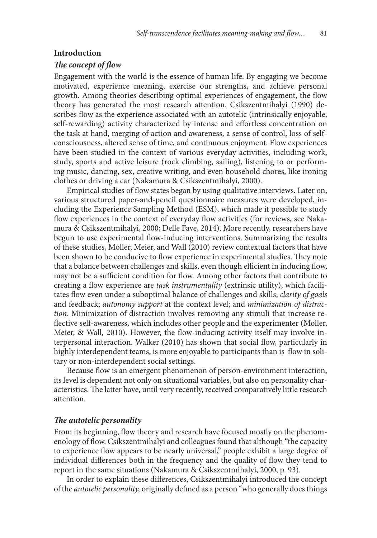#### **Introduction**

#### *The concept of flow*

Engagement with the world is the essence of human life. By engaging we become motivated, experience meaning, exercise our strengths, and achieve personal growth. Among theories describing optimal experiences of engagement, the flow theory has generated the most research attention. Csikszentmihalyi (1990) describes flow as the experience associated with an autotelic (intrinsically enjoyable, self-rewarding) activity characterized by intense and effortless concentration on the task at hand, merging of action and awareness, a sense of control, loss of selfconsciousness, altered sense of time, and continuous enjoyment. Flow experiences have been studied in the context of various everyday activities, including work, study, sports and active leisure (rock climbing, sailing), listening to or performing music, dancing, sex, creative writing, and even household chores, like ironing clothes or driving a car (Nakamura & Csikszentmihalyi, 2000).

Empirical studies of flow states began by using qualitative interviews. Later on, various structured paper-and-pencil questionnaire measures were developed, including the Experience Sampling Method (ESM), which made it possible to study flow experiences in the context of everyday flow activities (for reviews, see Nakamura & Csikszentmihalyi, 2000; Delle Fave, 2014). More recently, researchers have begun to use experimental flow-inducing interventions. Summarizing the results of these studies, Moller, Meier, and Wall (2010) review contextual factors that have been shown to be conducive to flow experience in experimental studies. They note that a balance between challenges and skills, even though efficient in inducing flow, may not be a sufficient condition for flow. Among other factors that contribute to creating a flow experience are *task instrumentality* (extrinsic utility), which facilitates flow even under a suboptimal balance of challenges and skills; *clarity of goals* and feedback; *autonomy support* at the context level; and *minimization of distraction*. Minimization of distraction involves removing any stimuli that increase reflective self-awareness, which includes other people and the experimenter (Moller, Meier, & Wall, 2010). However, the flow-inducing activity itself may involve interpersonal interaction. Walker (2010) has shown that social flow, particularly in highly interdependent teams, is more enjoyable to participants than is flow in solitary or non-interdependent social settings.

Because flow is an emergent phenomenon of person-environment interaction, its level is dependent not only on situational variables, but also on personality characteristics. The latter have, until very recently, received comparatively little research attention.

#### *The autotelic personality*

From its beginning, flow theory and research have focused mostly on the phenomenology of flow. Csikszentmihalyi and colleagues found that although "the capacity to experience flow appears to be nearly universal," people exhibit a large degree of individual differences both in the frequency and the quality of flow they tend to report in the same situations (Nakamura & Csikszentmihalyi, 2000, p. 93).

In order to explain these differences, Csikszentmihalyi introduced the concept of the *autotelic personality,* originally defined as a person "who generally does things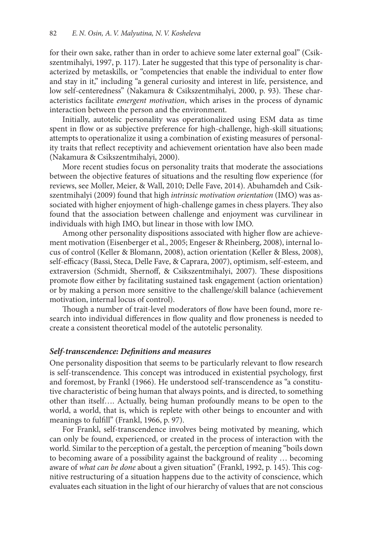for their own sake, rather than in order to achieve some later external goal" (Csikszentmihalyi, 1997, p. 117). Later he suggested that this type of personality is characterized by metaskills, or "competencies that enable the individual to enter flow and stay in it," including "a general curiosity and interest in life, persistence, and low self-centeredness" (Nakamura & Csikszentmihalyi, 2000, p. 93). These characteristics facilitate *emergent motivation*, which arises in the process of dynamic interaction between the person and the environment.

Initially, autotelic personality was operationalized using ESM data as time spent in flow or as subjective preference for high-challenge, high-skill situations; attempts to operationalize it using a combination of existing measures of personality traits that reflect receptivity and achievement orientation have also been made (Nakamura & Csikszentmihalyi, 2000).

More recent studies focus on personality traits that moderate the associations between the objective features of situations and the resulting flow experience (for reviews, see Moller, Meier, & Wall, 2010; Delle Fave, 2014). Abuhamdeh and Csikszentmihalyi (2009) found that high *intrinsic motivation orientation* (IMO) was associated with higher enjoyment of high-challenge games in chess players. They also found that the association between challenge and enjoyment was curvilinear in individuals with high IMO, but linear in those with low IMO.

Among other personality dispositions associated with higher flow are achievement motivation (Eisenberger et al., 2005; Engeser & Rheinberg, 2008), internal locus of control (Keller & Blomann, 2008), action orientation (Keller & Bless, 2008), self-efficacy (Bassi, Steca, Delle Fave, & Caprara, 2007), optimism, self-esteem, and extraversion (Schmidt, Shernoff, & Csikszentmihalyi, 2007). These dispositions promote flow either by facilitating sustained task engagement (action orientation) or by making a person more sensitive to the challenge/skill balance (achievement motivation, internal locus of control).

Though a number of trait-level moderators of flow have been found, more research into individual differences in flow quality and flow proneness is needed to create a consistent theoretical model of the autotelic personality.

### *Self-transcendence: Definitions and measures*

One personality disposition that seems to be particularly relevant to flow research is self-transcendence. This concept was introduced in existential psychology, first and foremost, by Frankl (1966). He understood self-transcendence as "a constitutive characteristic of being human that always points, and is directed, to something other than itself…. Actually, being human profoundly means to be open to the world, a world, that is, which is replete with other beings to encounter and with meanings to fulfill" (Frankl, 1966, p. 97).

For Frankl, self-transcendence involves being motivated by meaning, which can only be found, experienced, or created in the process of interaction with the world. Similar to the perception of a gestalt, the perception of meaning "boils down to becoming aware of a possibility against the background of reality … becoming aware of *what can be done* about a given situation" (Frankl, 1992, p. 145). This cognitive restructuring of a situation happens due to the activity of conscience, which evaluates each situation in the light of our hierarchy of values that are not conscious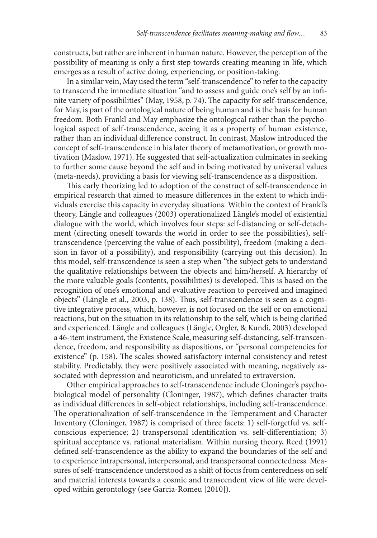constructs, but rather are inherent in human nature. However, the perception of the possibility of meaning is only a first step towards creating meaning in life, which emerges as a result of active doing, experiencing, or position-taking.

In a similar vein, May used the term "self-transcendence" to refer to the capacity to transcend the immediate situation "and to assess and guide one's self by an infinite variety of possibilities" (May, 1958, p. 74). The capacity for self-transcendence, for May, is part of the ontological nature of being human and is the basis for human freedom. Both Frankl and May emphasize the ontological rather than the psychological aspect of self-transcendence, seeing it as a property of human existence, rather than an individual difference construct. In contrast, Maslow introduced the concept of self-transcendence in his later theory of metamotivation, or growth motivation (Maslow, 1971). He suggested that self-actualization culminates in seeking to further some cause beyond the self and in being motivated by universal values (meta-needs), providing a basis for viewing self-transcendence as a disposition.

This early theorizing led to adoption of the construct of self-transcendence in empirical research that aimed to measure differences in the extent to which individuals exercise this capacity in everyday situations. Within the context of Frankl's theory, Längle and colleagues (2003) operationalized Längle's model of existential dialogue with the world, which involves four steps: self-distancing or self-detachment (directing oneself towards the world in order to see the possibilities), selftranscendence (perceiving the value of each possibility), freedom (making a decision in favor of a possibility), and responsibility (carrying out this decision). In this model, self-transcendence is seen a step when "the subject gets to understand the qualitative relationships between the objects and him/herself. A hierarchy of the more valuable goals (contents, possibilities) is developed. This is based on the recognition of one's emotional and evaluative reaction to perceived and imagined objects" (Längle et al., 2003, p. 138). Thus, self-transcendence is seen as a cognitive integrative process, which, however, is not focused on the self or on emotional reactions, but on the situation in its relationship to the self, which is being clarified and experienced. Längle and colleagues (Längle, Orgler, & Kundi, 2003) developed a 46-item instrument, the Existence Scale, measuring self-distancing, self-transcendence, freedom, and responsibility as dispositions, or "personal competencies for existence" (p. 158). The scales showed satisfactory internal consistency and retest stability. Predictably, they were positively associated with meaning, negatively associated with depression and neuroticism, and unrelated to extraversion.

Other empirical approaches to self-transcendence include Cloninger's psychobiological model of personality (Cloninger, 1987), which defines character traits as individual differences in self-object relationships, including self-transcendence. The operationalization of self-transcendence in the Temperament and Character Inventory (Cloninger, 1987) is comprised of three facets: 1) self-forgetful vs. selfconscious experience; 2) transpersonal identification vs. self-differentiation; 3) spiritual acceptance vs. rational materialism. Within nursing theory, Reed (1991) defined self-transcendence as the ability to expand the boundaries of the self and to experience intrapersonal, interpersonal, and transpersonal connectedness. Measures of self-transcendence understood as a shift of focus from centeredness on self and material interests towards a cosmic and transcendent view of life were developed within gerontology (see Garcia-Romeu [2010]).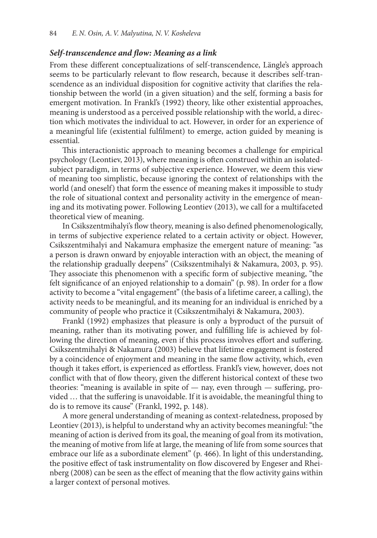### *Self-transcendence and flow: Meaning as a link*

From these different conceptualizations of self-transcendence, Längle's approach seems to be particularly relevant to flow research, because it describes self-transcendence as an individual disposition for cognitive activity that clarifies the relationship between the world (in a given situation) and the self, forming a basis for emergent motivation. In Frankl's (1992) theory, like other existential approaches, meaning is understood as a perceived possible relationship with the world, a direction which motivates the individual to act. However, in order for an experience of a meaningful life (existential fulfilment) to emerge, action guided by meaning is essential.

This interactionistic approach to meaning becomes a challenge for empirical psychology (Leontiev, 2013), where meaning is often construed within an isolatedsubject paradigm, in terms of subjective experience. However, we deem this view of meaning too simplistic, because ignoring the context of relationships with the world (and oneself) that form the essence of meaning makes it impossible to study the role of situational context and personality activity in the emergence of meaning and its motivating power. Following Leontiev (2013), we call for a multifaceted theoretical view of meaning.

In Csikszentmihalyi's flow theory, meaning is also defined phenomenologically, in terms of subjective experience related to a certain activity or object. However, Csikszentmihalyi and Nakamura emphasize the emergent nature of meaning: "as a person is drawn onward by enjoyable interaction with an object, the meaning of the relationship gradually deepens" (Csikszentmihalyi & Nakamura, 2003, p. 95). They associate this phenomenon with a specific form of subjective meaning, "the felt significance of an enjoyed relationship to a domain" (p. 98). In order for a flow activity to become a "vital engagement" (the basis of a lifetime career, a calling), the activity needs to be meaningful, and its meaning for an individual is enriched by a community of people who practice it (Csikszentmihalyi & Nakamura, 2003).

Frankl (1992) emphasizes that pleasure is only a byproduct of the pursuit of meaning, rather than its motivating power, and fulfilling life is achieved by following the direction of meaning, even if this process involves effort and suffering. Csikszentmihalyi & Nakamura (2003) believe that lifetime engagement is fostered by a coincidence of enjoyment and meaning in the same flow activity, which, even though it takes effort, is experienced as effortless. Frankl's view, however, does not conflict with that of flow theory, given the different historical context of these two theories: "meaning is available in spite of — nay, even through — suffering, provided … that the suffering is unavoidable. If it is avoidable, the meaningful thing to do is to remove its cause" (Frankl, 1992, p. 148).

A more general understanding of meaning as context-relatedness, proposed by Leontiev (2013), is helpful to understand why an activity becomes meaningful: "the meaning of action is derived from its goal, the meaning of goal from its motivation, the meaning of motive from life at large, the meaning of life from some sources that embrace our life as a subordinate element" (p. 466). In light of this understanding, the positive effect of task instrumentality on flow discovered by Engeser and Rheinberg (2008) can be seen as the effect of meaning that the flow activity gains within a larger context of personal motives.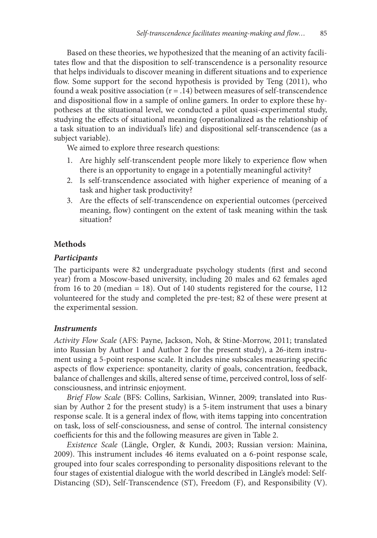Based on these theories, we hypothesized that the meaning of an activity facilitates flow and that the disposition to self-transcendence is a personality resource that helps individuals to discover meaning in different situations and to experience flow. Some support for the second hypothesis is provided by Teng (2011), who found a weak positive association  $(r = .14)$  between measures of self-transcendence and dispositional flow in a sample of online gamers. In order to explore these hypotheses at the situational level, we conducted a pilot quasi-experimental study, studying the effects of situational meaning (operationalized as the relationship of a task situation to an individual's life) and dispositional self-transcendence (as a subject variable).

We aimed to explore three research questions:

- 1. Are highly self-transcendent people more likely to experience flow when there is an opportunity to engage in a potentially meaningful activity?
- 2. Is self-transcendence associated with higher experience of meaning of a task and higher task productivity?
- 3. Are the effects of self-transcendence on experiential outcomes (perceived meaning, flow) contingent on the extent of task meaning within the task situation?

# **Methods**

### *Participants*

The participants were 82 undergraduate psychology students (first and second year) from a Moscow-based university, including 20 males and 62 females aged from 16 to 20 (median = 18). Out of 140 students registered for the course, 112 volunteered for the study and completed the pre-test; 82 of these were present at the experimental session.

## *Instruments*

*Activity Flow Scale* (AFS: Payne, Jackson, Noh, & Stine-Morrow, 2011; translated into Russian by Author 1 and Author 2 for the present study), a 26-item instrument using a 5-point response scale. It includes nine subscales measuring specific aspects of flow experience: spontaneity, clarity of goals, concentration, feedback, balance of challenges and skills, altered sense of time, perceived control, loss of selfconsciousness, and intrinsic enjoyment.

*Brief Flow Scale* (BFS: Collins, Sarkisian, Winner, 2009; translated into Russian by Author 2 for the present study) is a 5-item instrument that uses a binary response scale. It is a general index of flow, with items tapping into concentration on task, loss of self-consciousness, and sense of control. The internal consistency coefficients for this and the following measures are given in Table 2.

*Existence Scale* (Längle, Orgler, & Kundi, 2003; Russian version: Mainina, 2009). This instrument includes 46 items evaluated on a 6-point response scale, grouped into four scales corresponding to personality dispositions relevant to the four stages of existential dialogue with the world described in Längle's model: Self-Distancing (SD), Self-Transcendence (ST), Freedom (F), and Responsibility (V).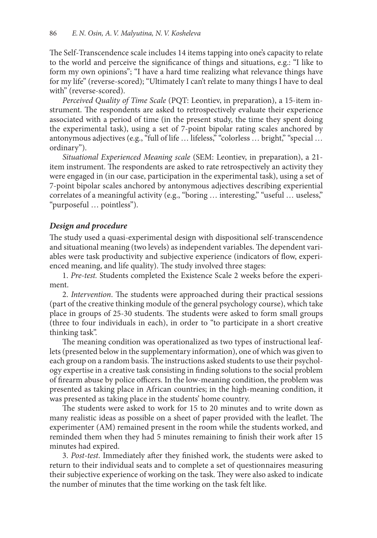The Self-Transcendence scale includes 14 items tapping into one's capacity to relate to the world and perceive the significance of things and situations, e.g.: "I like to form my own opinions"; "I have a hard time realizing what relevance things have for my life" (reverse-scored); "Ultimately I can't relate to many things I have to deal with" (reverse-scored).

*Perceived Quality of Time Scale* (PQT: Leontiev, in preparation), a 15-item instrument. The respondents are asked to retrospectively evaluate their experience associated with a period of time (in the present study, the time they spent doing the experimental task), using a set of 7-point bipolar rating scales anchored by antonymous adjectives (e.g., "full of life … lifeless," "colorless … bright," "special … ordinary").

*Situational Experienced Meaning scale* (SEM: Leontiev, in preparation), a 21 item instrument. The respondents are asked to rate retrospectively an activity they were engaged in (in our case, participation in the experimental task), using a set of 7-point bipolar scales anchored by antonymous adjectives describing experiential correlates of a meaningful activity (e.g., "boring … interesting," "useful … useless," "purposeful … pointless").

# *Design and procedure*

The study used a quasi-experimental design with dispositional self-transcendence and situational meaning (two levels) as independent variables. The dependent variables were task productivity and subjective experience (indicators of flow, experienced meaning, and life quality). The study involved three stages:

1. *Pre-test.* Students completed the Existence Scale 2 weeks before the experiment.

2. *Intervention*. The students were approached during their practical sessions (part of the creative thinking module of the general psychology course), which take place in groups of 25-30 students. The students were asked to form small groups (three to four individuals in each), in order to "to participate in a short creative thinking task".

The meaning condition was operationalized as two types of instructional leaflets (presented below in the supplementary information), one of which was given to each group on a random basis. The instructions asked students to use their psychology expertise in a creative task consisting in finding solutions to the social problem of firearm abuse by police officers. In the low-meaning condition, the problem was presented as taking place in African countries; in the high-meaning condition, it was presented as taking place in the students' home country.

The students were asked to work for 15 to 20 minutes and to write down as many realistic ideas as possible on a sheet of paper provided with the leaflet. The experimenter (AM) remained present in the room while the students worked, and reminded them when they had 5 minutes remaining to finish their work after 15 minutes had expired.

3. *Post-test*. Immediately after they finished work, the students were asked to return to their individual seats and to complete a set of questionnaires measuring their subjective experience of working on the task. They were also asked to indicate the number of minutes that the time working on the task felt like.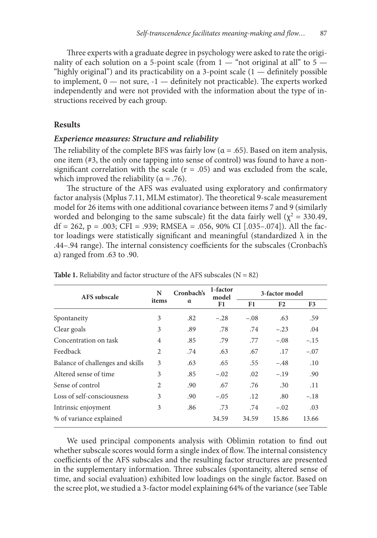Three experts with a graduate degree in psychology were asked to rate the originality of each solution on a 5-point scale (from  $1 -$  "not original at all" to 5  $-$ "highly original") and its practicability on a 3-point scale  $(1 -$  definitely possible to implement, 0 — not sure, -1 — definitely not practicable). The experts worked independently and were not provided with the information about the type of instructions received by each group.

#### **Results**

### *Experience measures: Structure and reliability*

The reliability of the complete BFS was fairly low ( $\alpha$  = .65). Based on item analysis, one item (#3, the only one tapping into sense of control) was found to have a nonsignificant correlation with the scale  $(r = .05)$  and was excluded from the scale, which improved the reliability ( $\alpha$  = .76).

The structure of the AFS was evaluated using exploratory and confirmatory factor analysis (Mplus 7.11, MLM estimator). The theoretical 9-scale measurement model for 26 items with one additional covariance between items 7 and 9 (similarly worded and belonging to the same subscale) fit the data fairly well ( $\chi^2$  = 330.49, df = 262, p = .003; CFI = .939; RMSEA = .056, 90% CI [.035–.074]). All the factor loadings were statistically significant and meaningful (standardized  $\lambda$  in the .44–.94 range). The internal consistency coefficients for the subscales (Cronbach's α) ranged from .63 to .90.

| AFS subscale                     | N              | Cronbach's | 1-factor<br>model |        | 3-factor model |        |
|----------------------------------|----------------|------------|-------------------|--------|----------------|--------|
|                                  | items          | $\alpha$   | F1                | F1     | F <sub>2</sub> | F3     |
| Spontaneity                      | 3              | .82        | $-.28$            | $-.08$ | .63            | .59    |
| Clear goals                      | 3              | .89        | .78               | .74    | $-.23$         | .04    |
| Concentration on task            | $\overline{4}$ | .85        | .79               | .77    | $-.08$         | $-.15$ |
| Feedback                         | 2              | .74        | .63               | .67    | .17            | $-.07$ |
| Balance of challenges and skills | 3              | .63        | .65               | .55    | $-.48$         | .10    |
| Altered sense of time            | 3              | .85        | $-.02$            | .02    | $-.19$         | .90    |
| Sense of control                 | 2              | .90        | .67               | .76    | .30            | .11    |
| Loss of self-consciousness       | 3              | .90        | $-.05$            | .12    | .80            | $-.18$ |
| Intrinsic enjoyment              | 3              | .86        | .73               | .74    | $-.02$         | .03    |
| % of variance explained          |                |            | 34.59             | 34.59  | 15.86          | 13.66  |

**Table 1.** Reliability and factor structure of the AFS subscales  $(N = 82)$ 

We used principal components analysis with Oblimin rotation to find out whether subscale scores would form a single index of flow. The internal consistency coefficients of the AFS subscales and the resulting factor structures are presented in the supplementary information. Three subscales (spontaneity, altered sense of time, and social evaluation) exhibited low loadings on the single factor. Based on the scree plot, we studied a 3-factor model explaining 64% of the variance (see Table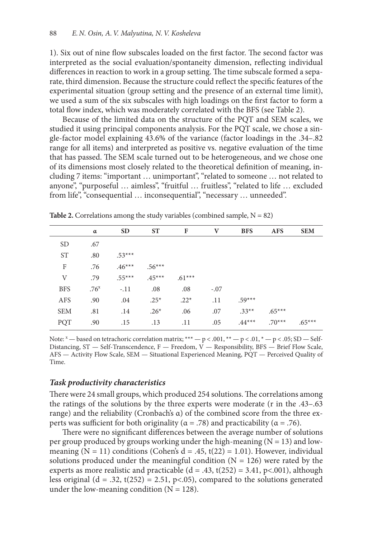1). Six out of nine flow subscales loaded on the first factor. The second factor was interpreted as the social evaluation/spontaneity dimension, reflecting individual differences in reaction to work in a group setting. The time subscale formed a separate, third dimension. Because the structure could reflect the specific features of the experimental situation (group setting and the presence of an external time limit), we used a sum of the six subscales with high loadings on the first factor to form a total flow index, which was moderately correlated with the BFS (see Table 2).

Because of the limited data on the structure of the PQT and SEM scales, we studied it using principal components analysis. For the PQT scale, we chose a single-factor model explaining 43.6% of the variance (factor loadings in the .34–.82 range for all items) and interpreted as positive vs. negative evaluation of the time that has passed. The SEM scale turned out to be heterogeneous, and we chose one of its dimensions most closely related to the theoretical definition of meaning, including 7 items: "important … unimportant", "related to someone … not related to anyone", "purposeful … aimless", "fruitful … fruitless", "related to life … excluded from life", "consequential ... inconsequential", "necessary ... unneeded".

|            | α                | <b>SD</b> | <b>ST</b> | F        | V      | <b>BFS</b> | <b>AFS</b> | <b>SEM</b> |
|------------|------------------|-----------|-----------|----------|--------|------------|------------|------------|
| <b>SD</b>  | .67              |           |           |          |        |            |            |            |
| <b>ST</b>  | .80              | $.53***$  |           |          |        |            |            |            |
| F          | .76              | $.46***$  | $.56***$  |          |        |            |            |            |
| V          | .79              | $.55***$  | $.45***$  | $.61***$ |        |            |            |            |
| <b>BFS</b> | .76 <sup>x</sup> | $-.11$    | .08       | .08      | $-.07$ |            |            |            |
| AFS        | .90              | .04       | $.25*$    | $.22*$   | .11    | $.59***$   |            |            |
| <b>SEM</b> | .81              | .14       | $.26*$    | .06      | .07    | $.33**$    | $.65***$   |            |
| PQT        | .90              | .15       | .13       | .11      | .05    | $.44***$   | $.70***$   | $.65***$   |
|            |                  |           |           |          |        |            |            |            |

**Table 2.** Correlations among the study variables (combined sample,  $N = 82$ )

Note:  $x -$  based on tetrachoric correlation matrix;  $*** - p < .001$ ,  $* - p < .01$ ,  $* - p < .05$ ; SD - Self-Distancing, ST — Self-Transcendence, F — Freedom,  $\bar{V}$  — Responsibility, BFS — Brief Flow Scale, AFS — Activity Flow Scale, SEM — Situational Experienced Meaning, PQT — Perceived Quality of Time.

#### *Task productivity characteristics*

There were 24 small groups, which produced 254 solutions. The correlations among the ratings of the solutions by the three experts were moderate (r in the .43–.63 range) and the reliability (Cronbach's α) of the combined score from the three experts was sufficient for both originality ( $\alpha$  = .78) and practicability ( $\alpha$  = .76).

There were no significant differences between the average number of solutions per group produced by groups working under the high-meaning  $(N = 13)$  and lowmeaning (N = 11) conditions (Cohen's  $d = .45$ ,  $t(22) = 1.01$ ). However, individual solutions produced under the meaningful condition  $(N = 126)$  were rated by the experts as more realistic and practicable ( $d = .43$ ,  $t(252) = 3.41$ ,  $p<.001$ ), although less original ( $d = .32$ ,  $t(252) = 2.51$ ,  $p<0.05$ ), compared to the solutions generated under the low-meaning condition  $(N = 128)$ .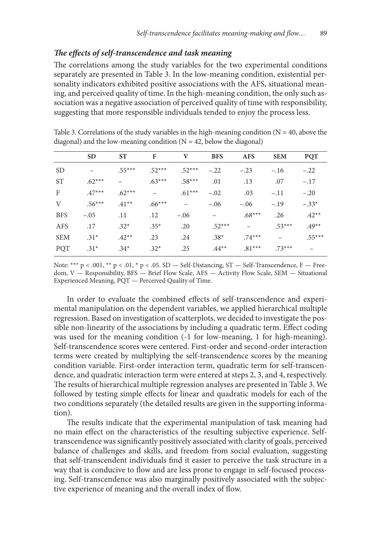### *The effects of self-transcendence and task meaning*

The correlations among the study variables for the two experimental conditions separately are presented in Table 3. In the low-meaning condition, existential personality indicators exhibited positive associations with the AFS, situational meaning, and perceived quality of time. In the high-meaning condition, the only such association was a negative association of perceived quality of time with responsibility, suggesting that more responsible individuals tended to enjoy the process less.

|            | <b>SD</b> | <b>ST</b> | F        | V                        | <b>BFS</b> | <b>AFS</b> | <b>SEM</b> | <b>PQT</b> |
|------------|-----------|-----------|----------|--------------------------|------------|------------|------------|------------|
|            |           |           |          |                          |            |            |            |            |
| <b>SD</b>  |           | $.55***$  | $.52***$ | $.52***$                 | $-.22$     | $-.23$     | $-.16$     | $-.22$     |
| <b>ST</b>  | $.62***$  |           | $.63***$ | $.58***$                 | .01        | .13        | .07        | $-.17$     |
| F          | $.47***$  | $.62***$  |          | $.61***$                 | $-.02$     | .03        | $-.11$     | $-.20$     |
| V          | $.56***$  | $.41**$   | $.66***$ | $\overline{\phantom{0}}$ | $-.06$     | $-.06$     | $-.19$     | $-.33*$    |
| <b>BFS</b> | $-.05$    | .11       | .12      | $-.06$                   | -          | $.68***$   | .26        | $.42**$    |
| <b>AFS</b> | .17       | $.32*$    | $.35*$   | .20                      | $.52***$   |            | $.53***$   | $.49**$    |
| <b>SEM</b> | $.31*$    | $.42**$   | .23      | .24                      | $.38*$     | $.74***$   |            | $.55***$   |
| PQT        | $.31*$    | $.34*$    | $.32*$   | .25                      | $.44**$    | $.81***$   | $.73***$   |            |

Table 3. Correlations of the study variables in the high-meaning condition ( $N = 40$ , above the diagonal) and the low-meaning condition  $(N = 42,$  below the diagonal)

Note: \*\*\* p < .001, \*\* p < .01, \* p < .05. SD — Self-Distancing, ST — Self-Transcendence, F — Freedom, V — Responsibility, BFS — Brief Flow Scale, AFS — Activity Flow Scale, SEM — Situational Experienced Meaning, PQT — Perceived Quality of Time.

In order to evaluate the combined effects of self-transcendence and experimental manipulation on the dependent variables, we applied hierarchical multiple regression. Based on investigation of scatterplots, we decided to investigate the possible non-linearity of the associations by including a quadratic term. Effect coding was used for the meaning condition (-1 for low-meaning, 1 for high-meaning). Self-transcendence scores were centered. First-order and second-order interaction terms were created by multiplying the self-transcendence scores by the meaning condition variable. First-order interaction term, quadratic term for self-transcendence, and quadratic interaction term were entered at steps 2, 3, and 4, respectively. The results of hierarchical multiple regression analyses are presented in Table 3. We followed by testing simple effects for linear and quadratic models for each of the two conditions separately (the detailed results are given in the supporting information).

The results indicate that the experimental manipulation of task meaning had no main effect on the characteristics of the resulting subjective experience. Selftranscendence was significantly positively associated with clarity of goals, perceived balance of challenges and skills, and freedom from social evaluation, suggesting that self-transcendent individuals find it easier to perceive the task structure in a way that is conducive to flow and are less prone to engage in self-focused processing. Self-transcendence was also marginally positively associated with the subjective experience of meaning and the overall index of flow.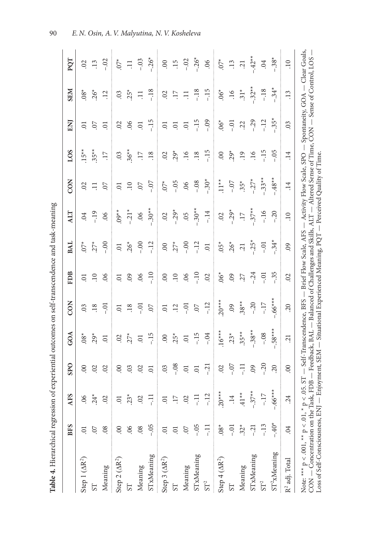|                                                                                                                                                 | <b>BFS</b>          | AFS             | SPO            | GOA                                                      | CON                                    | <b>FDB</b>          | <b>BAL</b>              | <b>ALT</b>          | CON                                                                                                                       | LOS                 | ENJ                                      | <b>SEM</b>              | PQT              |
|-------------------------------------------------------------------------------------------------------------------------------------------------|---------------------|-----------------|----------------|----------------------------------------------------------|----------------------------------------|---------------------|-------------------------|---------------------|---------------------------------------------------------------------------------------------------------------------------|---------------------|------------------------------------------|-------------------------|------------------|
| Step $1 (AR^2)$                                                                                                                                 | $\overline{0}$      | 06              | $\infty$       | $.08^*$                                                  | $\overline{0}$                         | $\overline{C}$      | $\sum_{i=1}^{k}$        | $\ddot{\mathrm{S}}$ | $\mathcal{O}$                                                                                                             | $.15**$             | $\overline{0}$                           | $.08^*$                 | $\mathcal{L}$    |
| 57                                                                                                                                              | $0$ <sup>7</sup>    | $24*$           | $\overline{0}$ | $29*$                                                    | $\overline{18}$                        | $\overline{10}$     | $27^*$                  | $-19$               | Ξ                                                                                                                         | $35**$              | S.                                       | $.26*$                  | $\overline{13}$  |
| Meaning                                                                                                                                         | .08                 | 02              | $\mathcal{L}$  | $\overline{0}$                                           | $-0$                                   | 06                  | $-0.0$                  | 06                  | $\overline{0}$                                                                                                            | $\overline{17}$     | $\overline{0}$                           | $\overline{12}$         | $-02$            |
| Step 2 $(AR^2)$                                                                                                                                 | 00                  | $\overline{0}$  | $\infty$       | $\overline{c}$                                           | $\overline{0}$                         | $\overline{0}$      | $\overline{0}$          | $09**$              | $\Xi$                                                                                                                     | 03                  | $\overline{c}$                           | 03                      | $\check{C}$      |
| 5T                                                                                                                                              | 06                  | $23*$           | 03             | $.27*$                                                   | $\overline{.18}$                       | $\ddot{6}$          | $.26*$                  | $-21*$              | $\Xi$                                                                                                                     | $36**$              | 60                                       | $.25*$                  | $\Xi$            |
| Meaning                                                                                                                                         | 08                  | 02              | 02             | $\overline{0}$                                           | $\overline{c}$ .                       | 06                  | $-0.0$                  | 06                  | $\overline{0}$                                                                                                            | $\ddot{=}$          | $\Xi$                                    | Ξ                       | $-.03$           |
| STxMeaning                                                                                                                                      | $-0.5$              | Ę               | $\overline{0}$ | $-15$                                                    | 07                                     | $-10$               | $-12$                   | $-30**$             | $-0.7$                                                                                                                    | .18                 | $-15$                                    | $-18$                   | $-.26*$          |
| Step 3 $(AR^2)$                                                                                                                                 | $\overline{0}$      | $\overline{0}$  | 03             | $\odot$                                                  | $\overline{0}$                         | $\odot$             | $\odot$                 | 02                  | $\sum_{i=1}^{k}$                                                                                                          | $\ddot{\mathrm{S}}$ | $\Xi$                                    | 02                      | $\odot$          |
| <b>LS</b>                                                                                                                                       | $\overline{0}$      | $\ddot{17}$     | $-0.08$        | $.25*$                                                   | $\overline{12}$                        | $\overline{10}$     | $.27*$                  | $-29*$              | $-0.5$                                                                                                                    | $.29*$              | $\ddot{\circ}$                           | $\ddot{17}$             | .15              |
| Meaning                                                                                                                                         | 07                  | $\overline{0}$  | $\overline{0}$ | $\overline{0}$                                           | Ξ<br>i                                 | 06                  | $-0.0$                  | 05                  | 06                                                                                                                        | .16                 | $\Xi$                                    | 弓                       | $-02$            |
| STxMeaning                                                                                                                                      | $-0.5$              | 두               | $\overline{0}$ | $-15$                                                    | $\overline{0}$                         | $-10$               | $-12$                   | $-30**$             | $-0.8$                                                                                                                    | .18                 | $-15$                                    | $-18$                   | $-26^*$          |
| $\mbox{ST}^2$                                                                                                                                   | 류                   | $-12$           | $-21$          | $-0.4$                                                   | $-12$                                  | $\ddot{\mathrm{C}}$ | $\Xi$                   | $-14$               | $-30*$                                                                                                                    | $-15$               | $-0.9$                                   | $-15$                   | 06               |
| Step $4 (AR2)$                                                                                                                                  | $.08*$              | $.20***$        | $\ddot{\circ}$ | $.16***$                                                 | $.20***$                               | $.06*$              | $.05*$                  | $\overline{0}$      | $\sum_{i=1}^{x}$                                                                                                          | 00                  | $.06*$                                   | $.06*$                  | $\sum_{i=1}^{k}$ |
| 5T                                                                                                                                              | $-0$                | $\overline{14}$ | $-0.7$         | $.23*$                                                   | .09                                    | $\ddot{6}$          | $.26*$                  | $-0.29*$            | $-0.7$                                                                                                                    | $29*$               | $-0.01$                                  | .16                     | $\ddot{.}13$     |
| Meaning                                                                                                                                         | $.32*$              | $*$ *17.        | Ę              | $.35**$                                                  | $.38**$                                | 27                  | $\overline{c}$          | $\overline{17}$     | $.35*$                                                                                                                    | $\ddot{.}$          | <b>SS</b>                                | $31*$                   | $\overline{c}$   |
| STxMeaning                                                                                                                                      | $\overline{c}$ .    | $-.37**$        | $\overline{0}$ | $-38**$                                                  | $-20$                                  | $-0.24$             | $-25^*$                 | $-37**$             | $-27$ <sup>*</sup>                                                                                                        | .16                 | $-29$                                    | $-32**$                 | $-42**$          |
| ST <sup>2</sup>                                                                                                                                 | $-13$               | $-17$           | $-20$          | $-0.8$                                                   | $-17$                                  | $-0$                | $\overline{c}$ .        | $-16$               | $-33**$                                                                                                                   | $-15$               | $-12$                                    | $-18$                   | .04              |
| ST <sup>2</sup> xMeaning                                                                                                                        | $-40*$              | $-.66***$       | 20             | $.58***$                                                 | $.66***$                               | $-0.35$             | $-34*$                  | $-20$               | $-48$ **                                                                                                                  | $-0.5$              | $-35*$                                   | $-34*$                  | $-38*$           |
| R <sup>2</sup> adj. Total                                                                                                                       | $\ddot{\mathrm{C}}$ | 24              | $\infty$       | $\overline{c}$                                           | $\sim$                                 | 02                  | 60                      | $\overline{10}$     | $\overline{14}$                                                                                                           | .14                 | .03                                      | $\cdot$ 13              | $\overline{10}$  |
| Loss of Self-Consciousness, ENJ - Enjoyment, SEM<br>CON — Concentration on the Task, FDB<br>Note: *** $p < .001$ , ** $p < .01$ , * $p < .05$ . |                     |                 | S <sub>T</sub> | - Self-Transcendence, BFS -<br>Feedback, BAL<br>$\bigg $ | Situational Experienced Meaning, PQT - |                     | Brief Flow Scale, AFS - |                     | Balanced of Challenges and Skills, ALT - Altered Sense of Time,<br>Activity Flow Scale, SPO<br>Perceived Quality of Time. |                     | Spontaneity, $GOA - Clear$ Goals,<br>CON | - Sense of Control, LOS |                  |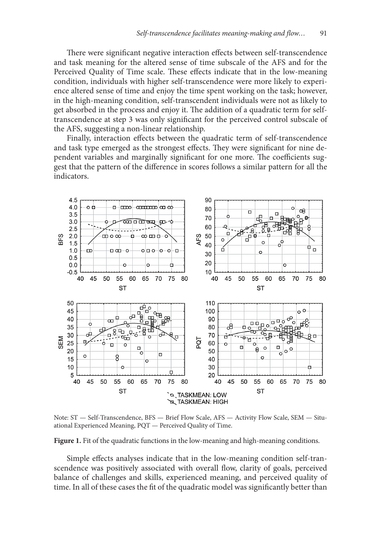There were significant negative interaction effects between self-transcendence and task meaning for the altered sense of time subscale of the AFS and for the Perceived Quality of Time scale. These effects indicate that in the low-meaning condition, individuals with higher self-transcendence were more likely to experience altered sense of time and enjoy the time spent working on the task; however, in the high-meaning condition, self-transcendent individuals were not as likely to get absorbed in the process and enjoy it. The addition of a quadratic term for selftranscendence at step 3 was only significant for the perceived control subscale of the AFS, suggesting a non-linear relationship.

Finally, interaction effects between the quadratic term of self-transcendence and task type emerged as the strongest effects. They were significant for nine dependent variables and marginally significant for one more. The coefficients suggest that the pattern of the difference in scores follows a similar pattern for all the indicators.



Note: ST — Self-Transcendence, BFS — Brief Flow Scale, AFS — Activity Flow Scale, SEM — Situational Experienced Meaning, PQT — Perceived Quality of Time.

**Figure 1.** Fit of the quadratic functions in the low-meaning and high-meaning conditions.

Simple effects analyses indicate that in the low-meaning condition self-transcendence was positively associated with overall flow, clarity of goals, perceived balance of challenges and skills, experienced meaning, and perceived quality of time. In all of these cases the fit of the quadratic model was significantly better than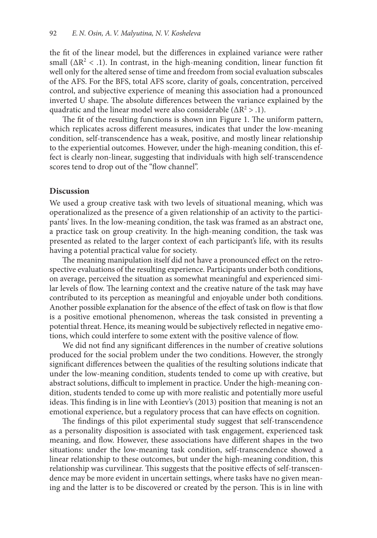the fit of the linear model, but the differences in explained variance were rather small ( $\Delta R^2$  < .1). In contrast, in the high-meaning condition, linear function fit well only for the altered sense of time and freedom from social evaluation subscales of the AFS. For the BFS, total AFS score, clarity of goals, concentration, perceived control, and subjective experience of meaning this association had a pronounced inverted U shape. The absolute differences between the variance explained by the quadratic and the linear model were also considerable ( $\Delta R^2 > .1$ ).

The fit of the resulting functions is shown inn Figure 1. The uniform pattern, which replicates across different measures, indicates that under the low-meaning condition, self-transcendence has a weak, positive, and mostly linear relationship to the experiential outcomes. However, under the high-meaning condition, this effect is clearly non-linear, suggesting that individuals with high self-transcendence scores tend to drop out of the "flow channel".

#### **Discussion**

We used a group creative task with two levels of situational meaning, which was operationalized as the presence of a given relationship of an activity to the participants' lives. In the low-meaning condition, the task was framed as an abstract one, a practice task on group creativity. In the high-meaning condition, the task was presented as related to the larger context of each participant's life, with its results having a potential practical value for society.

The meaning manipulation itself did not have a pronounced effect on the retrospective evaluations of the resulting experience. Participants under both conditions, on average, perceived the situation as somewhat meaningful and experienced similar levels of flow. The learning context and the creative nature of the task may have contributed to its perception as meaningful and enjoyable under both conditions. Another possible explanation for the absence of the effect of task on flow is that flow is a positive emotional phenomenon, whereas the task consisted in preventing a potential threat. Hence, its meaning would be subjectively reflected in negative emotions, which could interfere to some extent with the positive valence of flow.

We did not find any significant differences in the number of creative solutions produced for the social problem under the two conditions. However, the strongly significant differences between the qualities of the resulting solutions indicate that under the low-meaning condition, students tended to come up with creative, but abstract solutions, difficult to implement in practice. Under the high-meaning condition, students tended to come up with more realistic and potentially more useful ideas. This finding is in line with Leontiev's (2013) position that meaning is not an emotional experience, but a regulatory process that can have effects on cognition.

The findings of this pilot experimental study suggest that self-transcendence as a personality disposition is associated with task engagement, experienced task meaning, and flow. However, these associations have different shapes in the two situations: under the low-meaning task condition, self-transcendence showed a linear relationship to these outcomes, but under the high-meaning condition, this relationship was curvilinear. This suggests that the positive effects of self-transcendence may be more evident in uncertain settings, where tasks have no given meaning and the latter is to be discovered or created by the person. This is in line with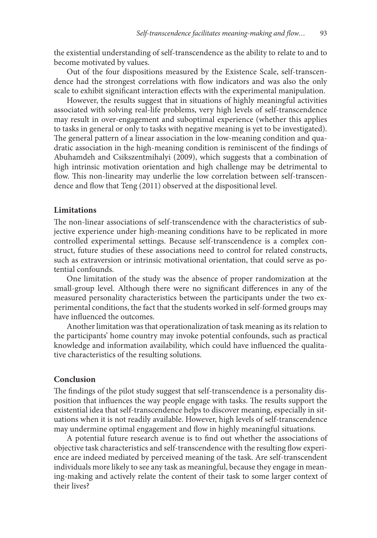the existential understanding of self-transcendence as the ability to relate to and to become motivated by values.

Out of the four dispositions measured by the Existence Scale, self-transcendence had the strongest correlations with flow indicators and was also the only scale to exhibit significant interaction effects with the experimental manipulation.

However, the results suggest that in situations of highly meaningful activities associated with solving real-life problems, very high levels of self-transcendence may result in over-engagement and suboptimal experience (whether this applies to tasks in general or only to tasks with negative meaning is yet to be investigated). The general pattern of a linear association in the low-meaning condition and quadratic association in the high-meaning condition is reminiscent of the findings of Abuhamdeh and Csikszentmihalyi (2009), which suggests that a combination of high intrinsic motivation orientation and high challenge may be detrimental to flow. This non-linearity may underlie the low correlation between self-transcendence and flow that Teng (2011) observed at the dispositional level.

#### **Limitations**

The non-linear associations of self-transcendence with the characteristics of subjective experience under high-meaning conditions have to be replicated in more controlled experimental settings. Because self-transcendence is a complex construct, future studies of these associations need to control for related constructs, such as extraversion or intrinsic motivational orientation, that could serve as potential confounds.

One limitation of the study was the absence of proper randomization at the small-group level. Although there were no significant differences in any of the measured personality characteristics between the participants under the two experimental conditions, the fact that the students worked in self-formed groups may have influenced the outcomes.

Another limitation was that operationalization of task meaning as its relation to the participants' home country may invoke potential confounds, such as practical knowledge and information availability, which could have influenced the qualitative characteristics of the resulting solutions.

### **Conclusion**

The findings of the pilot study suggest that self-transcendence is a personality disposition that influences the way people engage with tasks. The results support the existential idea that self-transcendence helps to discover meaning, especially in situations when it is not readily available. However, high levels of self-transcendence may undermine optimal engagement and flow in highly meaningful situations.

A potential future research avenue is to find out whether the associations of objective task characteristics and self-transcendence with the resulting flow experience are indeed mediated by perceived meaning of the task. Are self-transcendent individuals more likely to see any task as meaningful, because they engage in meaning-making and actively relate the content of their task to some larger context of their lives?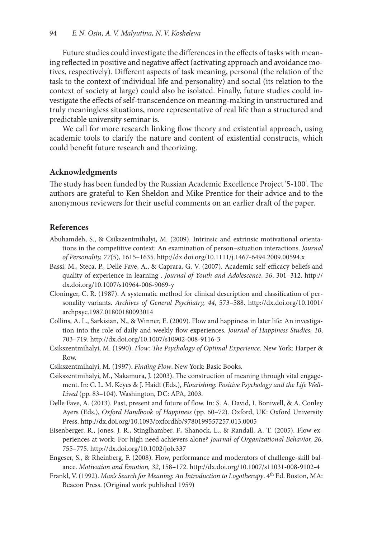Future studies could investigate the differences in the effects of tasks with meaning reflected in positive and negative affect (activating approach and avoidance motives, respectively). Different aspects of task meaning, personal (the relation of the task to the context of individual life and personality) and social (its relation to the context of society at large) could also be isolated. Finally, future studies could investigate the effects of self-transcendence on meaning-making in unstructured and truly meaningless situations, more representative of real life than a structured and predictable university seminar is.

We call for more research linking flow theory and existential approach, using academic tools to clarify the nature and content of existential constructs, which could benefit future research and theorizing.

### **Acknowledgments**

The study has been funded by the Russian Academic Excellence Project '5-100'. The authors are grateful to Ken Sheldon and Mike Prentice for their advice and to the anonymous reviewers for their useful comments on an earlier draft of the paper.

### **References**

- Abuhamdeh, S., & Csikszentmihalyi, M. (2009). Intrinsic and extrinsic motivational orientations in the competitive context: An examination of person–situation interactions. *Journal of Personality, 77*(5), 1615–1635. http://dx.doi.org/10.1111/j.1467-6494.2009.00594.x
- Bassi, M., Steca, P., Delle Fave, A., & Caprara, G. V. (2007). Academic self-efficacy beliefs and quality of experience in learning . *Journal of Youth and Adolescence, 36*, 301–312. http:// dx.doi.org/10.1007/s10964-006-9069-y
- Cloninger, C. R. (1987). A systematic method for clinical description and classification of personality variants. *Archives of General Psychiatry, 44*, 573–588. http://dx.doi.org/10.1001/ archpsyc.1987.01800180093014
- Collins, A. L., Sarkisian, N., & Winner, E. (2009). Flow and happiness in later life: An investigation into the role of daily and weekly flow experiences. *Journal of Happiness Studies, 10*, 703–719. http://dx.doi.org/10.1007/s10902-008-9116-3
- Csikszentmihalyi, M. (1990). *Flow: The Psychology of Optimal Experience*. New York: Harper & Row.
- Csikszentmihalyi, M. (1997). *Finding Flow*. New York: Basic Books.
- Csikszentmihalyi, M., Nakamura, J. (2003). The construction of meaning through vital engagement. In: C. L. M. Keyes & J. Haidt (Eds.), *Flourishing: Positive Psychology and the Life Well-Lived* (pp. 83–104). Washington, DC: APA, 2003.
- Delle Fave, A. (2013). Past, present and future of flow. In: S. A. David, I. Boniwell, & A. Conley Ayers (Eds.), *Oxford Handbook of Happiness* (pp. 60–72). Oxford, UK: Oxford University Press. http://dx.doi.org/10.1093/oxfordhb/9780199557257.013.0005
- Eisenberger, R., Jones, J. R., Stinglhamber, F., Shanock, L., & Randall, A. T. (2005). Flow experiences at work: For high need achievers alone? *Journal of Organizational Behavior, 26*, 755–775. http://dx.doi.org/10.1002/job.337
- Engeser, S., & Rheinberg, F. (2008). Flow, performance and moderators of challenge-skill balance. *Motivation and Emotion, 32*, 158–172. http://dx.doi.org/10.1007/s11031-008-9102-4
- Frankl, V. (1992). *Man's Search for Meaning: An Introduction to Logotherapy*. 4th Ed. Boston, MA: Beacon Press. (Original work published 1959)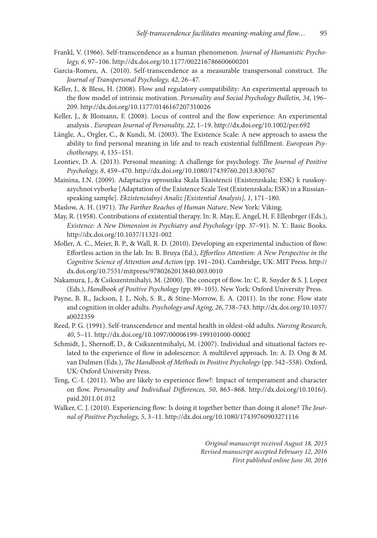- Frankl, V. (1966). Self-transcendence as a human phenomenon. *Journal of Humanistic Psychology, 6*, 97–106. http://dx.doi.org/10.1177/002216786600600201
- Garcia-Romeu, A. (2010). Self-transcendence as a measurable transpersonal construct. *The Journal of Transpersonal Psychology, 42*, 26–47.
- Keller, J., & Bless, H. (2008). Flow and regulatory compatibility: An experimental approach to the flow model of intrinsic motivation. *Personality and Social Psychology Bulletin, 34*, 196– 209. http://dx.doi.org/10.1177/0146167207310026
- Keller, J., & Blomann, F. (2008). Locus of control and the flow experience: An experimental analysis . *European Journal of Personality, 22*, 1–19. http://dx.doi.org/10.1002/per.692
- Längle, A., Orgler, C., & Kundi, M. (2003). The Existence Scale: A new approach to assess the ability to find personal meaning in life and to reach existential fulfillment. *European Psychotherapy, 4*, 135–151.
- Leontiev, D. A. (2013). Personal meaning: A challenge for psychology. *The Journal of Positive Psychology, 8*, 459–470. http://dx.doi.org/10.1080/17439760.2013.830767
- Mainina, I.N. (2009). Adaptaciya oprosnika Skala Eksistencii (Existenzskala; ESK) k russkoyazychnoi vyborke [Adaptation of the Existence Scale Test (Existenzskala; ESK) in a Russianspeaking sample]. *Ekzistencialnyi Analiz [Existential Analysis], 1*, 171–180.
- Maslow, A. H. (1971). *The Farther Reaches of Human Nature*. New York: Viking.
- May, R. (1958). Contributions of existential therapy. In: R. May, E. Angel, H. F. Ellenbrger (Eds.), *Existence: A New Dimension in Psychiatry and Psychology* (pp. 37–91). N. Y.: Basic Books. http://dx.doi.org/10.1037/11321-002
- Moller, A. C., Meier, B. P., & Wall, R. D. (2010). Developing an experimental induction of flow: Effortless action in the lab. In: B. Bruya (Ed.), *Effortless Attention: A New Perspective in the Cognitive Science of Attention and Action* (pp. 191–204). Cambridge, UK: MIT Press. http:// dx.doi.org/10.7551/mitpress/9780262013840.003.0010
- Nakamura, J., & Csikszentmihalyi, M. (2000). The concept of flow. In: C. R. Snyder & S. J. Lopez (Eds.), *Handbook of Positive Psychology* (pp. 89–105). New York: Oxford University Press.
- Payne, B. R., Jackson, J. J., Noh, S. R., & Stine-Morrow, E. A. (2011). In the zone: Flow state and cognition in older adults. *Psychology and Aging, 26*, 738–743. http://dx.doi.org/10.1037/ a0022359
- Reed, P. G. (1991). Self-transcendence and mental health in oldest-old adults. *Nursing Research, 40*, 5–11. http://dx.doi.org/10.1097/00006199-199101000-00002
- Schmidt, J., Shernoff, D., & Csikszentmihalyi, M. (2007). Individual and situational factors related to the experience of flow in adolescence: A multilevel approach. In: A. D. Ong & M. van Dulmen (Eds.), *The Handbook of Methods in Positive Psychology* (pp. 542–558). Oxford, UK: Oxford University Press.
- Teng, C.-I. (2011). Who are likely to experience flow?: Impact of temperament and character on flow. *Personality and Individual Differences, 50*, 863–868. http://dx.doi.org/10.1016/j. paid.2011.01.012
- Walker, C. J. (2010). Experiencing flow: Is doing it together better than doing it alone? *The Journal of Positive Psychology, 5*, 3–11. http://dx.doi.org/10.1080/17439760903271116

*Original manuscript received August 18, 2015 Revised manuscript accepted February 12, 2016 First published online June 30, 2016*